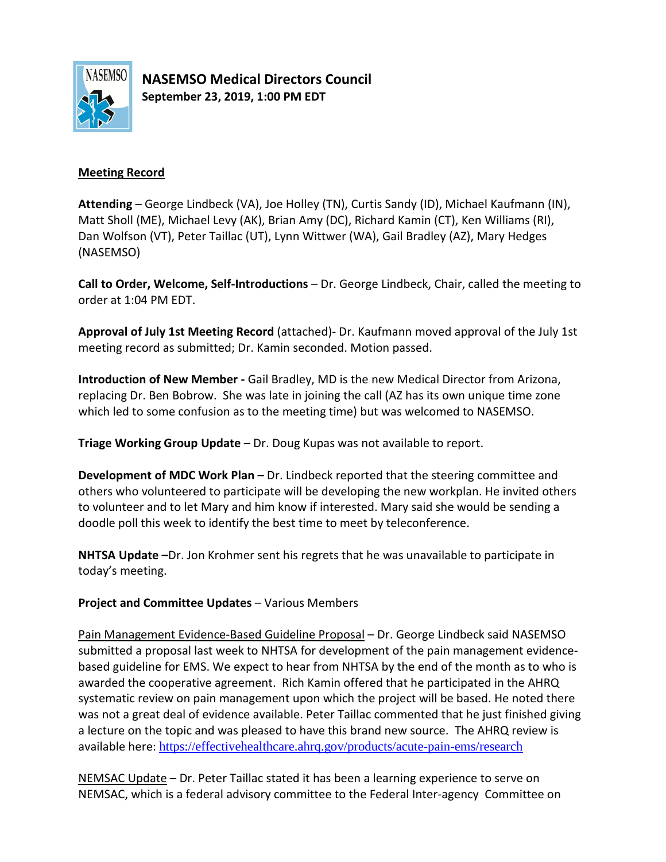

**NASEMSO Medical Directors Council September 23, 2019, 1:00 PM EDT**

## **Meeting Record**

**Attending** – George Lindbeck (VA), Joe Holley (TN), Curtis Sandy (ID), Michael Kaufmann (IN), Matt Sholl (ME), Michael Levy (AK), Brian Amy (DC), Richard Kamin (CT), Ken Williams (RI), Dan Wolfson (VT), Peter Taillac (UT), Lynn Wittwer (WA), Gail Bradley (AZ), Mary Hedges (NASEMSO)

**Call to Order, Welcome, Self-Introductions** – Dr. George Lindbeck, Chair, called the meeting to order at 1:04 PM EDT.

**Approval of July 1st Meeting Record** (attached)- Dr. Kaufmann moved approval of the July 1st meeting record as submitted; Dr. Kamin seconded. Motion passed.

**Introduction of New Member -** Gail Bradley, MD is the new Medical Director from Arizona, replacing Dr. Ben Bobrow. She was late in joining the call (AZ has its own unique time zone which led to some confusion as to the meeting time) but was welcomed to NASEMSO.

**Triage Working Group Update** – Dr. Doug Kupas was not available to report.

**Development of MDC Work Plan** – Dr. Lindbeck reported that the steering committee and others who volunteered to participate will be developing the new workplan. He invited others to volunteer and to let Mary and him know if interested. Mary said she would be sending a doodle poll this week to identify the best time to meet by teleconference.

**NHTSA Update –**Dr. Jon Krohmer sent his regrets that he was unavailable to participate in today's meeting.

# **Project and Committee Updates** – Various Members

Pain Management Evidence-Based Guideline Proposal – Dr. George Lindbeck said NASEMSO submitted a proposal last week to NHTSA for development of the pain management evidencebased guideline for EMS. We expect to hear from NHTSA by the end of the month as to who is awarded the cooperative agreement. Rich Kamin offered that he participated in the AHRQ systematic review on pain management upon which the project will be based. He noted there was not a great deal of evidence available. Peter Taillac commented that he just finished giving a lecture on the topic and was pleased to have this brand new source. The AHRQ review is available here: <https://effectivehealthcare.ahrq.gov/products/acute-pain-ems/research>

NEMSAC Update – Dr. Peter Taillac stated it has been a learning experience to serve on NEMSAC, which is a federal advisory committee to the Federal Inter-agency Committee on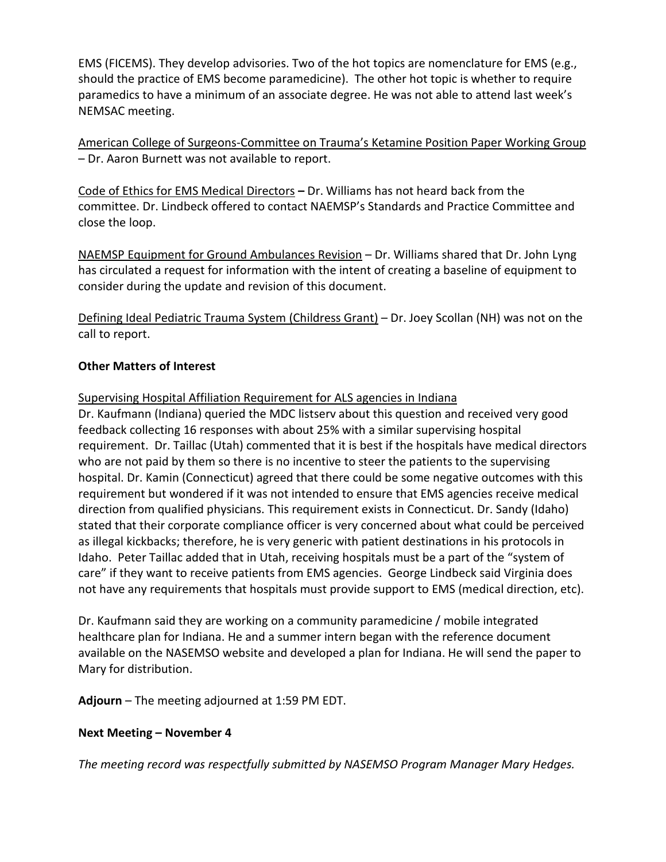EMS (FICEMS). They develop advisories. Two of the hot topics are nomenclature for EMS (e.g., should the practice of EMS become paramedicine). The other hot topic is whether to require paramedics to have a minimum of an associate degree. He was not able to attend last week's NEMSAC meeting.

American College of Surgeons-Committee on Trauma's Ketamine Position Paper Working Group – Dr. Aaron Burnett was not available to report.

Code of Ethics for EMS Medical Directors **–** Dr. Williams has not heard back from the committee. Dr. Lindbeck offered to contact NAEMSP's Standards and Practice Committee and close the loop.

NAEMSP Equipment for Ground Ambulances Revision – Dr. Williams shared that Dr. John Lyng has circulated a request for information with the intent of creating a baseline of equipment to consider during the update and revision of this document.

Defining Ideal Pediatric Trauma System (Childress Grant) – Dr. Joey Scollan (NH) was not on the call to report.

# **Other Matters of Interest**

## Supervising Hospital Affiliation Requirement for ALS agencies in Indiana

Dr. Kaufmann (Indiana) queried the MDC listserv about this question and received very good feedback collecting 16 responses with about 25% with a similar supervising hospital requirement. Dr. Taillac (Utah) commented that it is best if the hospitals have medical directors who are not paid by them so there is no incentive to steer the patients to the supervising hospital. Dr. Kamin (Connecticut) agreed that there could be some negative outcomes with this requirement but wondered if it was not intended to ensure that EMS agencies receive medical direction from qualified physicians. This requirement exists in Connecticut. Dr. Sandy (Idaho) stated that their corporate compliance officer is very concerned about what could be perceived as illegal kickbacks; therefore, he is very generic with patient destinations in his protocols in Idaho. Peter Taillac added that in Utah, receiving hospitals must be a part of the "system of care" if they want to receive patients from EMS agencies. George Lindbeck said Virginia does not have any requirements that hospitals must provide support to EMS (medical direction, etc).

Dr. Kaufmann said they are working on a community paramedicine / mobile integrated healthcare plan for Indiana. He and a summer intern began with the reference document available on the NASEMSO website and developed a plan for Indiana. He will send the paper to Mary for distribution.

**Adjourn** – The meeting adjourned at 1:59 PM EDT.

# **Next Meeting – November 4**

*The meeting record was respectfully submitted by NASEMSO Program Manager Mary Hedges.*